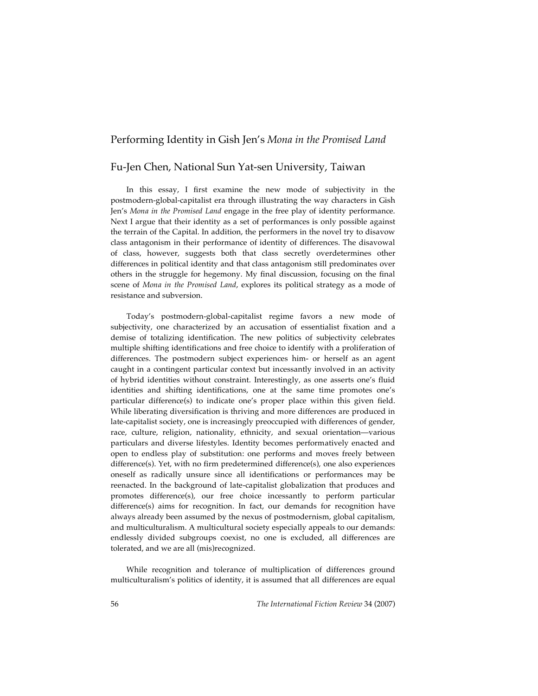## Performing Identity in Gish Jen's *Mona in the Promised Land*

## Fu-Jen Chen, National Sun Yat-sen University, Taiwan

In this essay, I first examine the new mode of subjectivity in the postmodern-global-capitalist era through illustrating the way characters in Gish Jen's *Mona in the Promised Land* engage in the free play of identity performance. Next I argue that their identity as a set of performances is only possible against the terrain of the Capital. In addition, the performers in the novel try to disavow class antagonism in their performance of identity of differences. The disavowal of class, however, suggests both that class secretly overdetermines other differences in political identity and that class antagonism still predominates over others in the struggle for hegemony. My final discussion, focusing on the final scene of *Mona in the Promised Land*, explores its political strategy as a mode of resistance and subversion.

Today's postmodern-global-capitalist regime favors a new mode of subjectivity, one characterized by an accusation of essentialist fixation and a demise of totalizing identification. The new politics of subjectivity celebrates multiple shifting identifications and free choice to identify with a proliferation of differences. The postmodern subject experiences him- or herself as an agent caught in a contingent particular context but incessantly involved in an activity of hybrid identities without constraint. Interestingly, as one asserts one's fluid identities and shifting identifications, one at the same time promotes one's particular difference(s) to indicate one's proper place within this given field. While liberating diversification is thriving and more differences are produced in late-capitalist society, one is increasingly preoccupied with differences of gender, race, culture, religion, nationality, ethnicity, and sexual orientation—various particulars and diverse lifestyles. Identity becomes performatively enacted and open to endless play of substitution: one performs and moves freely between difference(s). Yet, with no firm predetermined difference(s), one also experiences oneself as radically unsure since all identifications or performances may be reenacted. In the background of late-capitalist globalization that produces and promotes difference(s), our free choice incessantly to perform particular difference(s) aims for recognition. In fact, our demands for recognition have always already been assumed by the nexus of postmodernism, global capitalism, and multiculturalism. A multicultural society especially appeals to our demands: endlessly divided subgroups coexist, no one is excluded, all differences are tolerated, and we are all (mis)recognized.

While recognition and tolerance of multiplication of differences ground multiculturalism's politics of identity, it is assumed that all differences are equal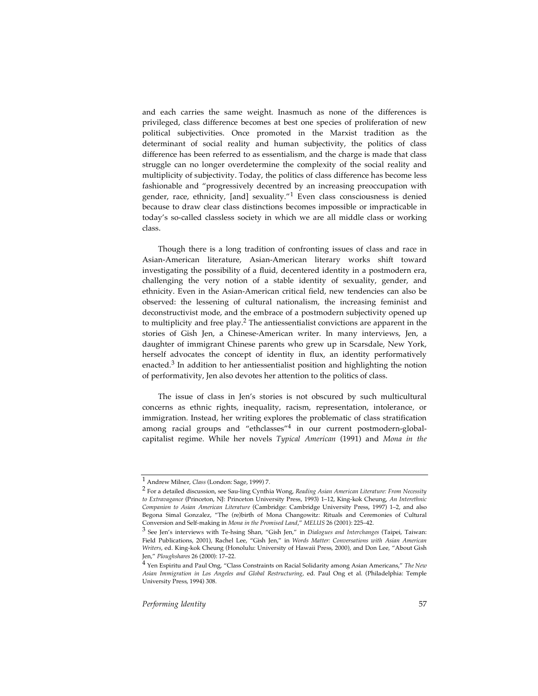and each carries the same weight. Inasmuch as none of the differences is privileged, class difference becomes at best one species of proliferation of new political subjectivities. Once promoted in the Marxist tradition as the determinant of social reality and human subjectivity, the politics of class difference has been referred to as essentialism, and the charge is made that class struggle can no longer overdetermine the complexity of the social reality and multiplicity of subjectivity. Today, the politics of class difference has become less fashionable and "progressively decentred by an increasing preoccupation with gender, race, ethnicity, [and] sexuality."<sup>1</sup> Even class consciousness is denied because to draw clear class distinctions becomes impossible or impracticable in today's so-called classless society in which we are all middle class or working class.

Though there is a long tradition of confronting issues of class and race in Asian-American literature, Asian-American literary works shift toward investigating the possibility of a fluid, decentered identity in a postmodern era, challenging the very notion of a stable identity of sexuality, gender, and ethnicity. Even in the Asian-American critical field, new tendencies can also be observed: the lessening of cultural nationalism, the increasing feminist and deconstructivist mode, and the embrace of a postmodern subjectivity opened up to multiplicity and free play.<sup>2</sup> The antiessentialist convictions are apparent in the stories of Gish Jen, a Chinese-American writer. In many interviews, Jen, a daughter of immigrant Chinese parents who grew up in Scarsdale, New York, herself advocates the concept of identity in flux, an identity performatively enacted.<sup>3</sup> In addition to her antiessentialist position and highlighting the notion of performativity, Jen also devotes her attention to the politics of class.

The issue of class in Jen's stories is not obscured by such multicultural concerns as ethnic rights, inequality, racism, representation, intolerance, or immigration. Instead, her writing explores the problematic of class stratification among racial groups and "ethclasses"<sup>4</sup> in our current postmodern-globalcapitalist regime. While her novels *Typical American* (1991) and *Mona in the*

<sup>1</sup> Andrew Milner, *Class* (London: Sage, 1999) 7.

<sup>2</sup> For <sup>a</sup> detailed discussion, see Sau-ling Cynthia Wong, *Reading Asian American Literature: From Necessity to Extravagance* (Princeton, NJ: Princeton University Press, 1993) 1–12, King-kok Cheung, *An Interethnic Companion to Asian American Literature* (Cambridge: Cambridge University Press, 1997) 1–2, and also Begona Simal Gonzalez, "The (re)birth of Mona Changowitz: Rituals and Ceremonies of Cultural Conversion and Self-making in *Mona in the Promised Land*," *MELUS* 26 (2001): 225–42.

<sup>3</sup> See Jen's interviews with Te-hsing Shan, "Gish Jen," in *Dialogues and Interchanges* (Taipei, Taiwan: Field Publications, 2001), Rachel Lee, "Gish Jen," in *Words Matter: Conversations with Asian American Writers*, ed. King-kok Cheung (Honolulu: University of Hawaii Press, 2000), and Don Lee, "About Gish Jen," *Ploughshares* 26 (2000): 17–22.

<sup>4</sup> Yen Espiritu and Paul Ong, "Class Constraints on Racial Solidarity among Asian Americans," *The New Asian Immigration in Los Angeles and Global Restructuring*, ed. Paul Ong et al. (Philadelphia: Temple University Press, 1994) 308.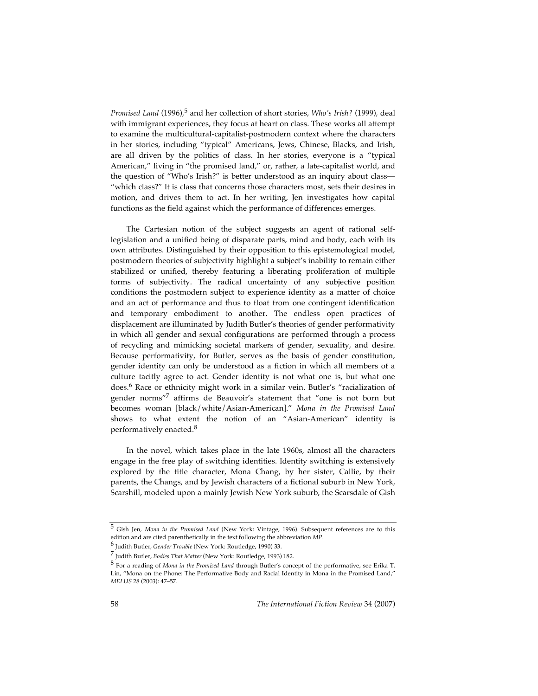*Promised Land* (1996), <sup>5</sup> and her collection of short stories, *Who's Irish?* (1999), deal with immigrant experiences, they focus at heart on class. These works all attempt to examine the multicultural-capitalist-postmodern context where the characters in her stories, including "typical" Americans, Jews, Chinese, Blacks, and Irish, are all driven by the politics of class. In her stories, everyone is a "typical American," living in "the promised land," or, rather, a late-capitalist world, and the question of "Who's Irish?" is better understood as an inquiry about class— "which class?" It is class that concerns those characters most, sets their desires in motion, and drives them to act. In her writing, Jen investigates how capital functions as the field against which the performance of differences emerges.

The Cartesian notion of the subject suggests an agent of rational selflegislation and a unified being of disparate parts, mind and body, each with its own attributes. Distinguished by their opposition to this epistemological model, postmodern theories of subjectivity highlight a subject's inability to remain either stabilized or unified, thereby featuring a liberating proliferation of multiple forms of subjectivity. The radical uncertainty of any subjective position conditions the postmodern subject to experience identity as a matter of choice and an act of performance and thus to float from one contingent identification and temporary embodiment to another. The endless open practices of displacement are illuminated by Judith Butler's theories of gender performativity in which all gender and sexual configurations are performed through a process of recycling and mimicking societal markers of gender, sexuality, and desire. Because performativity, for Butler, serves as the basis of gender constitution, gender identity can only be understood as a fiction in which all members of a culture tacitly agree to act. Gender identity is not what one is, but what one does. <sup>6</sup> Race or ethnicity might work in a similar vein. Butler's "racialization of gender norms"7 affirms de Beauvoir's statement that "one is not born but becomes woman [black/white/Asian-American]." *Mona in the Promised Land* shows to what extent the notion of an "Asian-American" identity is performatively enacted. 8

In the novel, which takes place in the late 1960s, almost all the characters engage in the free play of switching identities. Identity switching is extensively explored by the title character, Mona Chang, by her sister, Callie, by their parents, the Changs, and by Jewish characters of a fictional suburb in New York, Scarshill, modeled upon a mainly Jewish New York suburb, the Scarsdale of Gish

<sup>5</sup> Gish Jen, *Mona in the Promised Land* (New York: Vintage, 1996). Subsequent references are to this edition and are cited parenthetically in the text following the abbreviation *MP*.

<sup>6</sup> Judith Butler, *Gender Trouble* (New York: Routledge, 1990) 33.

<sup>7</sup> Judith Butler, *Bodies That Matter* (New York: Routledge, 1993) 182.

<sup>8</sup> For <sup>a</sup> reading of *Mona in the Promised Land* through Butler's concept of the performative, see Erika T. Lin, "Mona on the Phone: The Performative Body and Racial Identity in Mona in the Promised Land," *MELUS* 28 (2003): 47–57.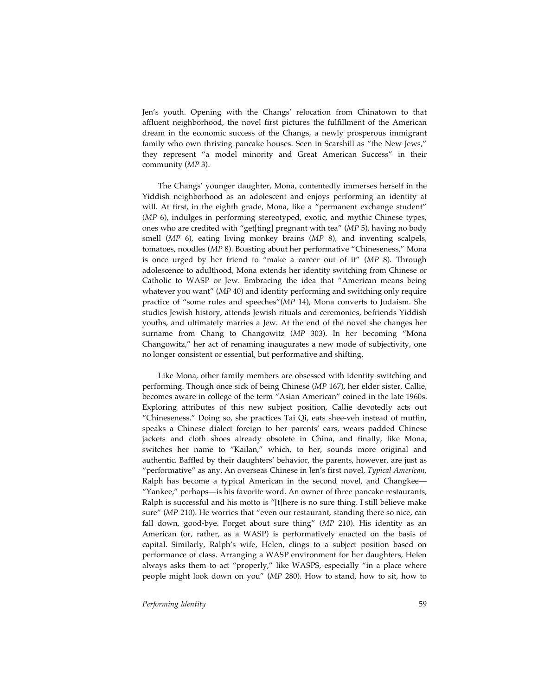Jen's youth. Opening with the Changs' relocation from Chinatown to that affluent neighborhood, the novel first pictures the fulfillment of the American dream in the economic success of the Changs, a newly prosperous immigrant family who own thriving pancake houses. Seen in Scarshill as "the New Jews," they represent "a model minority and Great American Success" in their community (*MP* 3).

The Changs' younger daughter, Mona, contentedly immerses herself in the Yiddish neighborhood as an adolescent and enjoys performing an identity at will. At first, in the eighth grade, Mona, like a "permanent exchange student" (*MP* 6), indulges in performing stereotyped, exotic, and mythic Chinese types, ones who are credited with "get[ting] pregnant with tea" (*MP* 5), having no body smell (*MP* 6), eating living monkey brains (*MP* 8), and inventing scalpels, tomatoes, noodles (*MP* 8). Boasting about her performative "Chineseness," Mona is once urged by her friend to "make a career out of it" (*MP* 8). Through adolescence to adulthood, Mona extends her identity switching from Chinese or Catholic to WASP or Jew. Embracing the idea that "American means being whatever you want" (*MP* 40) and identity performing and switching only require practice of "some rules and speeches"(*MP* 14), Mona converts to Judaism. She studies Jewish history, attends Jewish rituals and ceremonies, befriends Yiddish youths, and ultimately marries a Jew. At the end of the novel she changes her surname from Chang to Changowitz (*MP* 303). In her becoming "Mona Changowitz," her act of renaming inaugurates a new mode of subjectivity, one no longer consistent or essential, but performative and shifting.

Like Mona, other family members are obsessed with identity switching and performing. Though once sick of being Chinese (*MP* 167), her elder sister, Callie, becomes aware in college of the term "Asian American" coined in the late 1960s. Exploring attributes of this new subject position, Callie devotedly acts out "Chineseness." Doing so, she practices Tai Qi, eats shee-veh instead of muffin, speaks a Chinese dialect foreign to her parents' ears, wears padded Chinese jackets and cloth shoes already obsolete in China, and finally, like Mona, switches her name to "Kailan," which, to her, sounds more original and authentic. Baffled by their daughters' behavior, the parents, however, are just as "performative" as any. An overseas Chinese in Jen's first novel, *Typical American*, Ralph has become a typical American in the second novel, and Changkee— "Yankee," perhaps—is his favorite word. An owner of three pancake restaurants, Ralph is successful and his motto is "[t]here is no sure thing. I still believe make sure" (MP 210). He worries that "even our restaurant, standing there so nice, can fall down, good-bye. Forget about sure thing" (*MP* 210). His identity as an American (or, rather, as a WASP) is performatively enacted on the basis of capital. Similarly, Ralph's wife, Helen, clings to a subject position based on performance of class. Arranging a WASP environment for her daughters, Helen always asks them to act "properly," like WASPS, especially "in a place where people might look down on you" (*MP* 280). How to stand, how to sit, how to

*Performing Identity* 59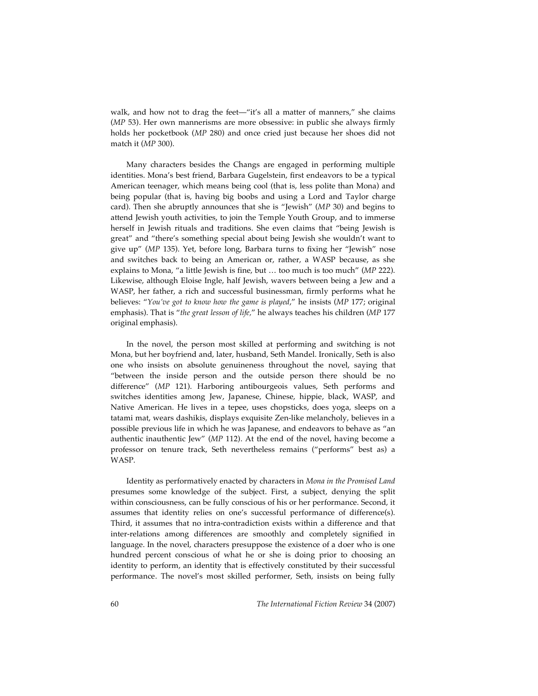walk, and how not to drag the feet—"it's all a matter of manners," she claims (*MP* 53). Her own mannerisms are more obsessive: in public she always firmly holds her pocketbook (*MP* 280) and once cried just because her shoes did not match it (*MP* 300).

Many characters besides the Changs are engaged in performing multiple identities. Mona's best friend, Barbara Gugelstein, first endeavors to be a typical American teenager, which means being cool (that is, less polite than Mona) and being popular (that is, having big boobs and using a Lord and Taylor charge card). Then she abruptly announces that she is "Jewish" (*MP* 30) and begins to attend Jewish youth activities, to join the Temple Youth Group, and to immerse herself in Jewish rituals and traditions. She even claims that "being Jewish is great" and "there's something special about being Jewish she wouldn't want to give up" (*MP* 135). Yet, before long, Barbara turns to fixing her "Jewish" nose and switches back to being an American or, rather, a WASP because, as she explains to Mona, "a little Jewish is fine, but … too much is too much" (*MP* 222). Likewise, although Eloise Ingle, half Jewish, wavers between being a Jew and a WASP, her father, a rich and successful businessman, firmly performs what he believes: "*You've got to know how the game is played*," he insists (*MP* 177; original emphasis). That is "*the great lesson of life,*" he always teaches his children (*MP* 177 original emphasis).

In the novel, the person most skilled at performing and switching is not Mona, but her boyfriend and, later, husband, Seth Mandel. Ironically, Seth is also one who insists on absolute genuineness throughout the novel, saying that "between the inside person and the outside person there should be no difference" (*MP* 121). Harboring antibourgeois values, Seth performs and switches identities among Jew, Japanese, Chinese, hippie, black, WASP, and Native American. He lives in a tepee, uses chopsticks, does yoga, sleeps on a tatami mat, wears dashikis, displays exquisite Zen-like melancholy, believes in a possible previous life in which he was Japanese, and endeavors to behave as "an authentic inauthentic Jew" (*MP* 112). At the end of the novel, having become a professor on tenure track, Seth nevertheless remains ("performs" best as) a WASP.

Identity as performatively enacted by characters in *Mona in the Promised Land* presumes some knowledge of the subject. First, a subject, denying the split within consciousness, can be fully conscious of his or her performance. Second, it assumes that identity relies on one's successful performance of difference(s). Third, it assumes that no intra-contradiction exists within a difference and that inter-relations among differences are smoothly and completely signified in language. In the novel, characters presuppose the existence of a doer who is one hundred percent conscious of what he or she is doing prior to choosing an identity to perform, an identity that is effectively constituted by their successful performance. The novel's most skilled performer, Seth, insists on being fully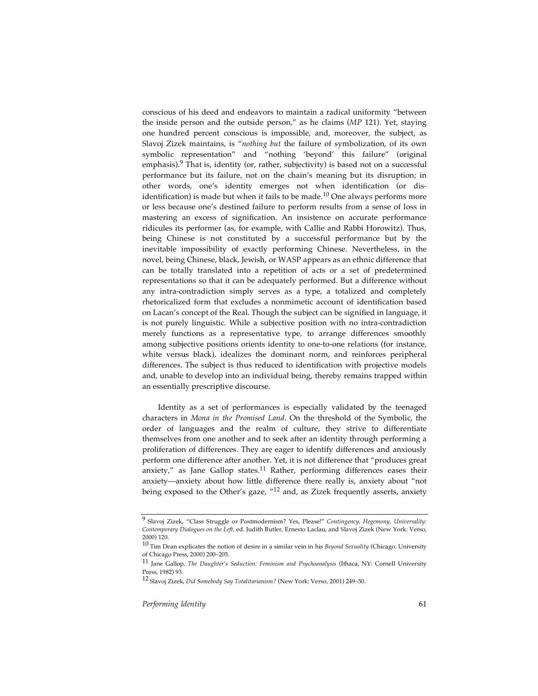conscious of his deed and endeavors to maintain a radical uniformity "between the inside person and the outside person," as he claims (*MP* 121). Yet, staying one hundred percent conscious is impossible, and, moreover, the subject, as Slavoj Zizek maintains, is "*nothing but* the failure of symbolization, of its own symbolic representation" and "nothing 'beyond' this failure" (original emphasis).<sup>9</sup> That is, identity (or, rather, subjectivity) is based not on a successful performance but its failure, not on the chain's meaning but its disruption; in other words, one's identity emerges not when identification (or disidentification) is made but when it fails to be made.<sup>10</sup> One always performs more or less because one's destined failure to perform results from a sense of loss in mastering an excess of signification. An insistence on accurate performance ridicules its performer (as, for example, with Callie and Rabbi Horowitz). Thus, being Chinese is not constituted by a successful performance but by the inevitable impossibility of exactly performing Chinese. Nevertheless, in the novel, being Chinese, black, Jewish, or WASP appears as an ethnic difference that can be totally translated into a repetition of acts or a set of predetermined representations so that it can be adequately performed. But a difference without any intra-contradiction simply serves as a type, a totalized and completely rhetoricalized form that excludes a nonmimetic account of identification based on Lacan's concept of the Real. Though the subject can be signified in language, it is not purely linguistic. While a subjective position with no intra-contradiction merely functions as a representative type, to arrange differences smoothly among subjective positions orients identity to one-to-one relations (for instance, white versus black), idealizes the dominant norm, and reinforces peripheral differences. The subject is thus reduced to identification with projective models and, unable to develop into an individual being, thereby remains trapped within an essentially prescriptive discourse.

Identity as a set of performances is especially validated by the teenaged characters in *Mona in the Promised Land*. On the threshold of the Symbolic, the order of languages and the realm of culture, they strive to differentiate themselves from one another and to seek after an identity through performing a proliferation of differences. They are eager to identify differences and anxiously perform one difference after another. Yet, it is not difference that "produces great anxiety," as Jane Gallop states.<sup>11</sup> Rather, performing differences eases their anxiety—anxiety about how little difference there really is, anxiety about "not being exposed to the Other's gaze, "<sup>12</sup> and, as Zizek frequently asserts, anxiety

<sup>9</sup> Slavoj Zizek, "Class Struggle or Postmodernism? Yes, Please!" *Contingency, Hegemony, Universality: Contemporary Dialogues on the Left,* ed. Judith Butler, Ernesto Laclau, and Slavoj Zizek (New York: Verso, 2000) 120.

<sup>10</sup> Tim Dean explicates the notion of desire in <sup>a</sup> similar vein in his *Beyond Sexuality* (Chicago: University of Chicago Press, 2000) 200–205.

<sup>11</sup> Jane Gallop, *The Daughter's Seduction: Feminism and Psychoanalysis* (Ithaca, NY: Cornell University Press, 1982) 93.

<sup>12</sup> Slavoj Zizek, *Did Somebody Say Totalitarianism?* (New York: Verso, 2001) 249–50.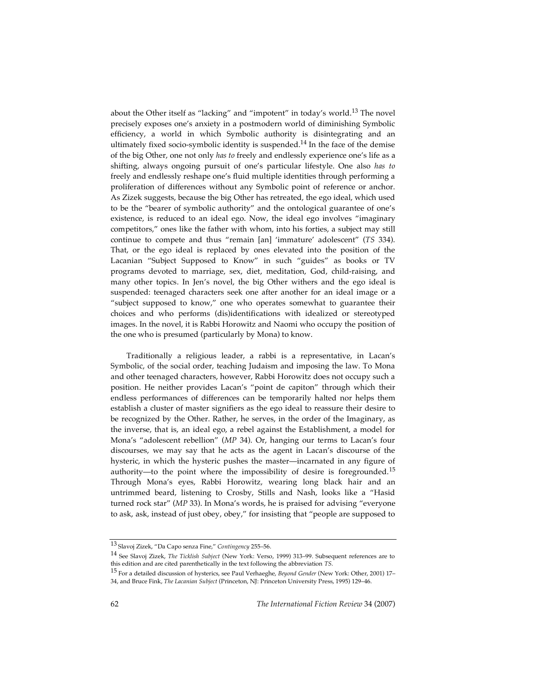about the Other itself as "lacking" and "impotent" in today's world.<sup>13</sup> The novel precisely exposes one's anxiety in a postmodern world of diminishing Symbolic efficiency, a world in which Symbolic authority is disintegrating and an ultimately fixed socio-symbolic identity is suspended.<sup>14</sup> In the face of the demise of the big Other, one not only *has to* freely and endlessly experience one's life as a shifting, always ongoing pursuit of one's particular lifestyle. One also *has to* freely and endlessly reshape one's fluid multiple identities through performing a proliferation of differences without any Symbolic point of reference or anchor. As Zizek suggests, because the big Other has retreated, the ego ideal, which used to be the "bearer of symbolic authority" and the ontological guarantee of one's existence, is reduced to an ideal ego. Now, the ideal ego involves "imaginary competitors," ones like the father with whom, into his forties, a subject may still continue to compete and thus "remain [an] 'immature' adolescent" (*TS* 334). That, or the ego ideal is replaced by ones elevated into the position of the Lacanian "Subject Supposed to Know" in such "guides" as books or TV programs devoted to marriage, sex, diet, meditation, God, child-raising, and many other topics. In Jen's novel, the big Other withers and the ego ideal is suspended: teenaged characters seek one after another for an ideal image or a "subject supposed to know," one who operates somewhat to guarantee their choices and who performs (dis)identifications with idealized or stereotyped images. In the novel, it is Rabbi Horowitz and Naomi who occupy the position of the one who is presumed (particularly by Mona) to know.

Traditionally a religious leader, a rabbi is a representative, in Lacan's Symbolic, of the social order, teaching Judaism and imposing the law. To Mona and other teenaged characters, however, Rabbi Horowitz does not occupy such a position. He neither provides Lacan's "point de capiton" through which their endless performances of differences can be temporarily halted nor helps them establish a cluster of master signifiers as the ego ideal to reassure their desire to be recognized by the Other. Rather, he serves, in the order of the Imaginary, as the inverse, that is, an ideal ego, a rebel against the Establishment, a model for Mona's "adolescent rebellion" (*MP* 34). Or, hanging our terms to Lacan's four discourses, we may say that he acts as the agent in Lacan's discourse of the hysteric, in which the hysteric pushes the master—incarnated in any figure of authority—to the point where the impossibility of desire is foregrounded.<sup>15</sup> Through Mona's eyes, Rabbi Horowitz, wearing long black hair and an untrimmed beard, listening to Crosby, Stills and Nash, looks like a "Hasid turned rock star" (*MP* 33). In Mona's words, he is praised for advising "everyone to ask, ask, instead of just obey, obey," for insisting that "people are supposed to

<sup>13</sup> Slavoj Zizek, "Da Capo senza Fine," *Contingency* 255–56.

<sup>14</sup> See Slavoj Zizek, *The Ticklish Subject* (New York: Verso, 1999) 313–99. Subsequent references are to this edition and are cited parenthetically in the text following the abbreviation *TS*.

<sup>15</sup> For <sup>a</sup> detailed discussion of hysterics, see Paul Verhaeghe, *Beyond Gender* (New York: Other, 2001) 17– 34, and Bruce Fink, *The Lacanian Subject* (Princeton, NJ: Princeton University Press, 1995) 129–46.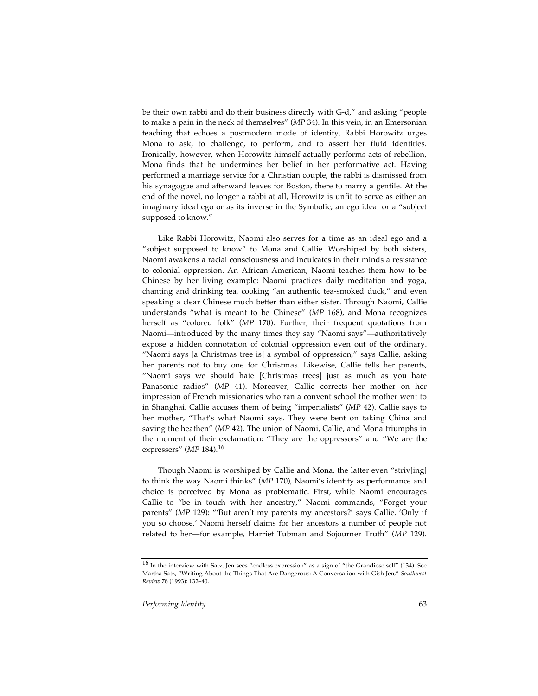be their own rabbi and do their business directly with G-d," and asking "people to make a pain in the neck of themselves" (*MP* 34). In this vein, in an Emersonian teaching that echoes a postmodern mode of identity, Rabbi Horowitz urges Mona to ask, to challenge, to perform, and to assert her fluid identities. Ironically, however, when Horowitz himself actually performs acts of rebellion, Mona finds that he undermines her belief in her performative act. Having performed a marriage service for a Christian couple, the rabbi is dismissed from his synagogue and afterward leaves for Boston, there to marry a gentile. At the end of the novel, no longer a rabbi at all, Horowitz is unfit to serve as either an imaginary ideal ego or as its inverse in the Symbolic, an ego ideal or a "subject supposed to know."

Like Rabbi Horowitz, Naomi also serves for a time as an ideal ego and a "subject supposed to know" to Mona and Callie. Worshiped by both sisters, Naomi awakens a racial consciousness and inculcates in their minds a resistance to colonial oppression. An African American, Naomi teaches them how to be Chinese by her living example: Naomi practices daily meditation and yoga, chanting and drinking tea, cooking "an authentic tea-smoked duck," and even speaking a clear Chinese much better than either sister. Through Naomi, Callie understands "what is meant to be Chinese" (*MP* 168), and Mona recognizes herself as "colored folk" (*MP* 170). Further, their frequent quotations from Naomi—introduced by the many times they say "Naomi says"—authoritatively expose a hidden connotation of colonial oppression even out of the ordinary. "Naomi says [a Christmas tree is] a symbol of oppression," says Callie, asking her parents not to buy one for Christmas. Likewise, Callie tells her parents, "Naomi says we should hate [Christmas trees] just as much as you hate Panasonic radios" (*MP* 41). Moreover, Callie corrects her mother on her impression of French missionaries who ran a convent school the mother went to in Shanghai. Callie accuses them of being "imperialists" (*MP* 42). Callie says to her mother, "That's what Naomi says. They were bent on taking China and saving the heathen" (*MP* 42). The union of Naomi, Callie, and Mona triumphs in the moment of their exclamation: "They are the oppressors" and "We are the expressers" (*MP* 184). 16

Though Naomi is worshiped by Callie and Mona, the latter even "striv[ing] to think the way Naomi thinks" (*MP* 170), Naomi's identity as performance and choice is perceived by Mona as problematic. First, while Naomi encourages Callie to "be in touch with her ancestry," Naomi commands, "Forget your parents" (MP 129): "'But aren't my parents my ancestors?' says Callie. 'Only if you so choose.' Naomi herself claims for her ancestors a number of people not related to her—for example, Harriet Tubman and Sojourner Truth" (*MP* 129).

<sup>16</sup> In the interview with Satz, Jen sees "endless expression" as <sup>a</sup> sign of "the Grandiose self" (134). See Martha Satz, "Writing About the Things That Are Dangerous: A Conversation with Gish Jen," *Southwest Review* 78 (1993): 132–40.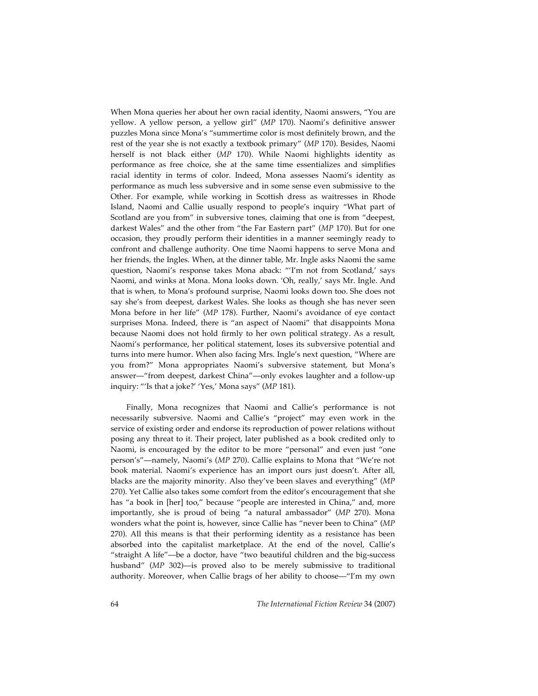When Mona queries her about her own racial identity, Naomi answers, "You are yellow. A yellow person, a yellow girl" (*MP* 170). Naomi's definitive answer puzzles Mona since Mona's "summertime color is most definitely brown, and the rest of the year she is not exactly a textbook primary" (*MP* 170). Besides, Naomi herself is not black either (*MP* 170). While Naomi highlights identity as performance as free choice, she at the same time essentializes and simplifies racial identity in terms of color. Indeed, Mona assesses Naomi's identity as performance as much less subversive and in some sense even submissive to the Other. For example, while working in Scottish dress as waitresses in Rhode Island, Naomi and Callie usually respond to people's inquiry "What part of Scotland are you from" in subversive tones, claiming that one is from "deepest, darkest Wales" and the other from "the Far Eastern part" (*MP* 170). But for one occasion, they proudly perform their identities in a manner seemingly ready to confront and challenge authority. One time Naomi happens to serve Mona and her friends, the Ingles. When, at the dinner table, Mr. Ingle asks Naomi the same question, Naomi's response takes Mona aback: "'I'm not from Scotland,' says Naomi, and winks at Mona. Mona looks down. 'Oh, really,' says Mr. Ingle. And that is when, to Mona's profound surprise, Naomi looks down too. She does not say she's from deepest, darkest Wales. She looks as though she has never seen Mona before in her life" (*MP* 178). Further, Naomi's avoidance of eye contact surprises Mona. Indeed, there is "an aspect of Naomi" that disappoints Mona because Naomi does not hold firmly to her own political strategy. As a result, Naomi's performance, her political statement, loses its subversive potential and turns into mere humor. When also facing Mrs. Ingle's next question, "Where are you from?" Mona appropriates Naomi's subversive statement, but Mona's answer—"from deepest, darkest China"—only evokes laughter and a follow-up inquiry: "'Is that a joke?' 'Yes,' Mona says" (*MP* 181).

Finally, Mona recognizes that Naomi and Callie's performance is not necessarily subversive. Naomi and Callie's "project" may even work in the service of existing order and endorse its reproduction of power relations without posing any threat to it. Their project, later published as a book credited only to Naomi, is encouraged by the editor to be more "personal" and even just "one person's"—namely, Naomi's (*MP* 270). Callie explains to Mona that "We're not book material. Naomi's experience has an import ours just doesn't. After all, blacks are the majority minority. Also they've been slaves and everything" (*MP* 270). Yet Callie also takes some comfort from the editor's encouragement that she has "a book in [her] too," because "people are interested in China," and, more importantly, she is proud of being "a natural ambassador" (*MP* 270). Mona wonders what the point is, however, since Callie has "never been to China" (*MP* 270). All this means is that their performing identity as a resistance has been absorbed into the capitalist marketplace. At the end of the novel, Callie's "straight A life"—be a doctor, have "two beautiful children and the big-success husband" (*MP* 302)—is proved also to be merely submissive to traditional authority. Moreover, when Callie brags of her ability to choose—"I'm my own

64 *The International Fiction Review* 34 (2007)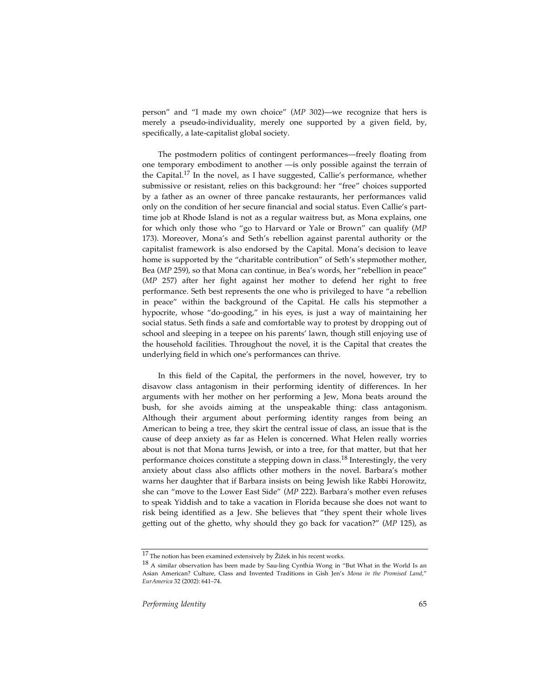person" and "I made my own choice" (*MP* 302)—we recognize that hers is merely a pseudo-individuality, merely one supported by a given field, by, specifically, a late-capitalist global society.

The postmodern politics of contingent performances—freely floating from one temporary embodiment to another —is only possible against the terrain of the Capital.<sup>17</sup> In the novel, as I have suggested, Callie's performance, whether submissive or resistant, relies on this background: her "free" choices supported by a father as an owner of three pancake restaurants, her performances valid only on the condition of her secure financial and social status. Even Callie's parttime job at Rhode Island is not as a regular waitress but, as Mona explains, one for which only those who "go to Harvard or Yale or Brown" can qualify (*MP* 173). Moreover, Mona's and Seth's rebellion against parental authority or the capitalist framework is also endorsed by the Capital. Mona's decision to leave home is supported by the "charitable contribution" of Seth's stepmother mother, Bea (*MP* 259), so that Mona can continue, in Bea's words, her "rebellion in peace" (*MP* 257) after her fight against her mother to defend her right to free performance. Seth best represents the one who is privileged to have "a rebellion in peace" within the background of the Capital. He calls his stepmother a hypocrite, whose "do-gooding," in his eyes, is just a way of maintaining her social status. Seth finds a safe and comfortable way to protest by dropping out of school and sleeping in a teepee on his parents' lawn, though still enjoying use of the household facilities. Throughout the novel, it is the Capital that creates the underlying field in which one's performances can thrive.

In this field of the Capital, the performers in the novel, however, try to disavow class antagonism in their performing identity of differences. In her arguments with her mother on her performing a Jew, Mona beats around the bush, for she avoids aiming at the unspeakable thing: class antagonism. Although their argument about performing identity ranges from being an American to being a tree, they skirt the central issue of class, an issue that is the cause of deep anxiety as far as Helen is concerned. What Helen really worries about is not that Mona turns Jewish, or into a tree, for that matter, but that her performance choices constitute a stepping down in class.<sup>18</sup> Interestingly, the very anxiety about class also afflicts other mothers in the novel. Barbara's mother warns her daughter that if Barbara insists on being Jewish like Rabbi Horowitz, she can "move to the Lower East Side" (*MP* 222). Barbara's mother even refuses to speak Yiddish and to take a vacation in Florida because she does not want to risk being identified as a Jew. She believes that "they spent their whole lives getting out of the ghetto, why should they go back for vacation?" (*MP* 125), as

 $^{17}$  The notion has been examined extensively by Žižek in his recent works.

<sup>18</sup> <sup>A</sup> similar observation has been made by Sau-ling Cynthia Wong in "But What in the World Is an Asian American? Culture, Class and Invented Traditions in Gish Jen's *Mona in the Promised Land*," *EurAmerica* 32 (2002): 641–74.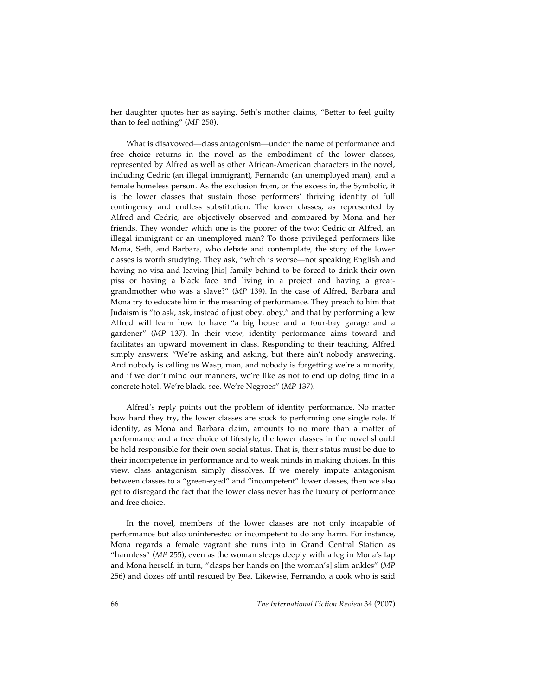her daughter quotes her as saying. Seth's mother claims, "Better to feel guilty than to feel nothing" (*MP* 258).

What is disavowed—class antagonism—under the name of performance and free choice returns in the novel as the embodiment of the lower classes, represented by Alfred as well as other African-American characters in the novel, including Cedric (an illegal immigrant), Fernando (an unemployed man), and a female homeless person. As the exclusion from, or the excess in, the Symbolic, it is the lower classes that sustain those performers' thriving identity of full contingency and endless substitution. The lower classes, as represented by Alfred and Cedric, are objectively observed and compared by Mona and her friends. They wonder which one is the poorer of the two: Cedric or Alfred, an illegal immigrant or an unemployed man? To those privileged performers like Mona, Seth, and Barbara, who debate and contemplate, the story of the lower classes is worth studying. They ask, "which is worse—not speaking English and having no visa and leaving [his] family behind to be forced to drink their own piss or having a black face and living in a project and having a greatgrandmother who was a slave?" (*MP* 139). In the case of Alfred, Barbara and Mona try to educate him in the meaning of performance. They preach to him that Judaism is "to ask, ask, instead of just obey, obey," and that by performing a Jew Alfred will learn how to have "a big house and a four-bay garage and a gardener" (*MP* 137). In their view, identity performance aims toward and facilitates an upward movement in class. Responding to their teaching, Alfred simply answers: "We're asking and asking, but there ain't nobody answering. And nobody is calling us Wasp, man, and nobody is forgetting we're a minority, and if we don't mind our manners, we're like as not to end up doing time in a concrete hotel. We're black, see. We're Negroes" (*MP* 137).

Alfred's reply points out the problem of identity performance. No matter how hard they try, the lower classes are stuck to performing one single role. If identity, as Mona and Barbara claim, amounts to no more than a matter of performance and a free choice of lifestyle, the lower classes in the novel should be held responsible for their own social status. That is, their status must be due to their incompetence in performance and to weak minds in making choices. In this view, class antagonism simply dissolves. If we merely impute antagonism between classes to a "green-eyed" and "incompetent" lower classes, then we also get to disregard the fact that the lower class never has the luxury of performance and free choice.

In the novel, members of the lower classes are not only incapable of performance but also uninterested or incompetent to do any harm. For instance, Mona regards a female vagrant she runs into in Grand Central Station as "harmless" (*MP* 255), even as the woman sleeps deeply with a leg in Mona's lap and Mona herself, in turn, "clasps her hands on [the woman's] slim ankles" (*MP* 256) and dozes off until rescued by Bea. Likewise, Fernando, a cook who is said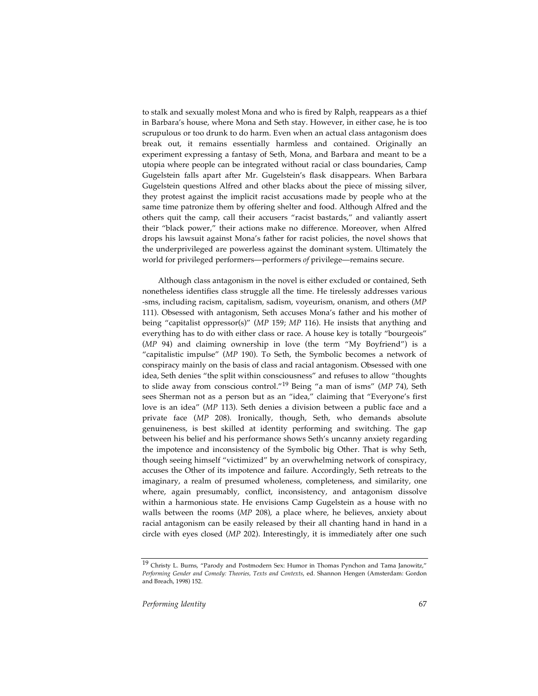to stalk and sexually molest Mona and who is fired by Ralph, reappears as a thief in Barbara's house, where Mona and Seth stay. However, in either case, he is too scrupulous or too drunk to do harm. Even when an actual class antagonism does break out, it remains essentially harmless and contained. Originally an experiment expressing a fantasy of Seth, Mona, and Barbara and meant to be a utopia where people can be integrated without racial or class boundaries, Camp Gugelstein falls apart after Mr. Gugelstein's flask disappears. When Barbara Gugelstein questions Alfred and other blacks about the piece of missing silver, they protest against the implicit racist accusations made by people who at the same time patronize them by offering shelter and food. Although Alfred and the others quit the camp, call their accusers "racist bastards," and valiantly assert their "black power," their actions make no difference. Moreover, when Alfred drops his lawsuit against Mona's father for racist policies, the novel shows that the underprivileged are powerless against the dominant system. Ultimately the world for privileged performers—performers *of* privilege—remains secure.

Although class antagonism in the novel is either excluded or contained, Seth nonetheless identifies class struggle all the time. He tirelessly addresses various -sms, including racism, capitalism, sadism, voyeurism, onanism, and others (*MP* 111). Obsessed with antagonism, Seth accuses Mona's father and his mother of being "capitalist oppressor(s)" (*MP* 159; *MP* 116). He insists that anything and everything has to do with either class or race. A house key is totally "bourgeois" (*MP* 94) and claiming ownership in love (the term "My Boyfriend") is a "capitalistic impulse" (*MP* 190). To Seth, the Symbolic becomes a network of conspiracy mainly on the basis of class and racial antagonism. Obsessed with one idea, Seth denies "the split within consciousness" and refuses to allow "thoughts to slide away from conscious control."<sup>19</sup> Being "a man of isms" (*MP* 74), Seth sees Sherman not as a person but as an "idea," claiming that "Everyone's first love is an idea" (*MP* 113). Seth denies a division between a public face and a private face (*MP* 208). Ironically, though, Seth, who demands absolute genuineness, is best skilled at identity performing and switching. The gap between his belief and his performance shows Seth's uncanny anxiety regarding the impotence and inconsistency of the Symbolic big Other. That is why Seth, though seeing himself "victimized" by an overwhelming network of conspiracy, accuses the Other of its impotence and failure. Accordingly, Seth retreats to the imaginary, a realm of presumed wholeness, completeness, and similarity, one where, again presumably, conflict, inconsistency, and antagonism dissolve within a harmonious state. He envisions Camp Gugelstein as a house with no walls between the rooms (*MP* 208), a place where, he believes, anxiety about racial antagonism can be easily released by their all chanting hand in hand in a circle with eyes closed (*MP* 202). Interestingly, it is immediately after one such

<sup>19</sup> Christy L. Burns, "Parody and Postmodern Sex: Humor in Thomas Pynchon and Tama Janowitz," *Performing Gender and Comedy: Theories, Texts and Contexts*, ed. Shannon Hengen (Amsterdam: Gordon and Breach, 1998) 152.